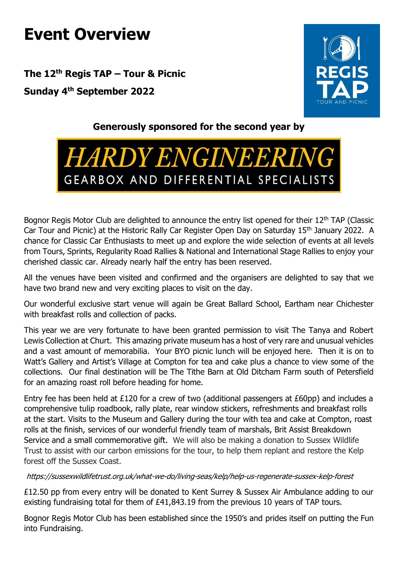## **Event Overview**

**The 12th Regis TAP – Tour & Picnic Sunday 4th September 2022**



## **Generously sponsored for the second year by**

## **HARDY ENGINEERING** GEARBOX AND DIFFERENTIAL SPECIALISTS

Bognor Regis Motor Club are delighted to announce the entry list opened for their 12<sup>th</sup> TAP (Classic Car Tour and Picnic) at the Historic Rally Car Register Open Day on Saturday 15th January 2022. A chance for Classic Car Enthusiasts to meet up and explore the wide selection of events at all levels from Tours, Sprints, Regularity Road Rallies & National and International Stage Rallies to enjoy your cherished classic car. Already nearly half the entry has been reserved.

All the venues have been visited and confirmed and the organisers are delighted to say that we have two brand new and very exciting places to visit on the day.

Our wonderful exclusive start venue will again be Great Ballard School, Eartham near Chichester with breakfast rolls and collection of packs.

This year we are very fortunate to have been granted permission to visit The Tanya and Robert Lewis Collection at Churt. This amazing private museum has a host of very rare and unusual vehicles and a vast amount of memorabilia. Your BYO picnic lunch will be enjoyed here. Then it is on to Watt's Gallery and Artist's Village at Compton for tea and cake plus a chance to view some of the collections. Our final destination will be The Tithe Barn at Old Ditcham Farm south of Petersfield for an amazing roast roll before heading for home.

Entry fee has been held at £120 for a crew of two (additional passengers at £60pp) and includes a comprehensive tulip roadbook, rally plate, rear window stickers, refreshments and breakfast rolls at the start. Visits to the Museum and Gallery during the tour with tea and cake at Compton, roast rolls at the finish, services of our wonderful friendly team of marshals, Brit Assist Breakdown Service and a small commemorative gift. We will also be making a donation to Sussex Wildlife Trust to assist with our carbon emissions for the tour, to help them replant and restore the Kelp forest off the Sussex Coast.

https://sussexwildlifetrust.org.uk/what-we-do/living-seas/kelp/help-us-regenerate-sussex-kelp-forest

£12.50 pp from every entry will be donated to Kent Surrey & Sussex Air Ambulance adding to our existing fundraising total for them of £41,843.19 from the previous 10 years of TAP tours.

Bognor Regis Motor Club has been established since the 1950's and prides itself on putting the Fun into Fundraising.